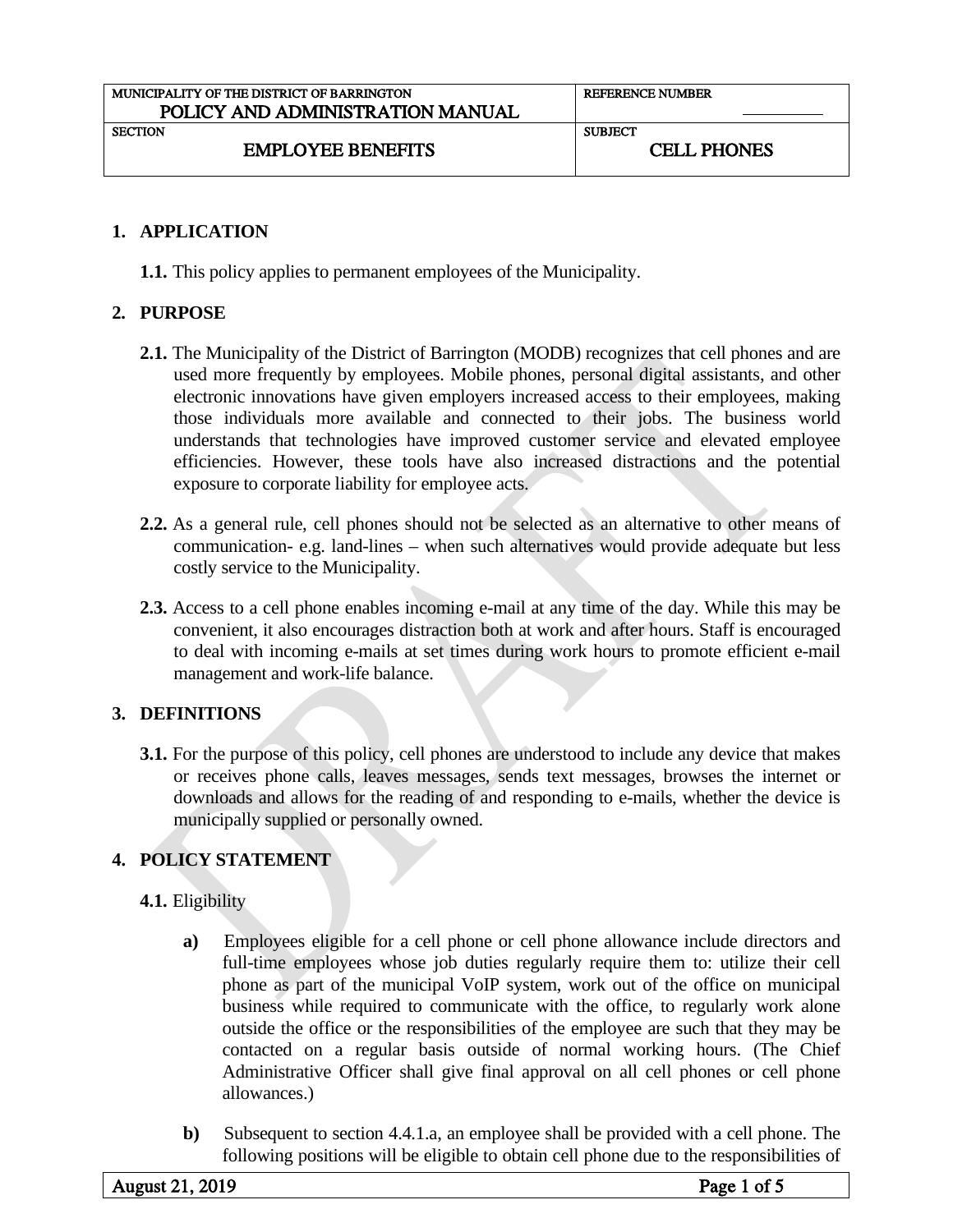| <b>REFERENCE NUMBER</b> |
|-------------------------|
|                         |
| <b>SUBJECT</b>          |
| <b>CELL PHONES</b>      |
|                         |

## **1. APPLICATION**

**1.1.** This policy applies to permanent employees of the Municipality.

### **2. PURPOSE**

- **2.1.** The Municipality of the District of Barrington (MODB) recognizes that cell phones and are used more frequently by employees. Mobile phones, personal digital assistants, and other electronic innovations have given employers increased access to their employees, making those individuals more available and connected to their jobs. The business world understands that technologies have improved customer service and elevated employee efficiencies. However, these tools have also increased distractions and the potential exposure to corporate liability for employee acts.
- **2.2.** As a general rule, cell phones should not be selected as an alternative to other means of communication- e.g. land-lines – when such alternatives would provide adequate but less costly service to the Municipality.
- **2.3.** Access to a cell phone enables incoming e-mail at any time of the day. While this may be convenient, it also encourages distraction both at work and after hours. Staff is encouraged to deal with incoming e-mails at set times during work hours to promote efficient e-mail management and work-life balance.

### **3. DEFINITIONS**

**3.1.** For the purpose of this policy, cell phones are understood to include any device that makes or receives phone calls, leaves messages, sends text messages, browses the internet or downloads and allows for the reading of and responding to e-mails, whether the device is municipally supplied or personally owned.

## **4. POLICY STATEMENT**

## **4.1.** Eligibility

- **a)** Employees eligible for a cell phone or cell phone allowance include directors and full-time employees whose job duties regularly require them to: utilize their cell phone as part of the municipal VoIP system, work out of the office on municipal business while required to communicate with the office, to regularly work alone outside the office or the responsibilities of the employee are such that they may be contacted on a regular basis outside of normal working hours. (The Chief Administrative Officer shall give final approval on all cell phones or cell phone allowances.)
- **b)** Subsequent to section 4.4.1.a, an employee shall be provided with a cell phone. The following positions will be eligible to obtain cell phone due to the responsibilities of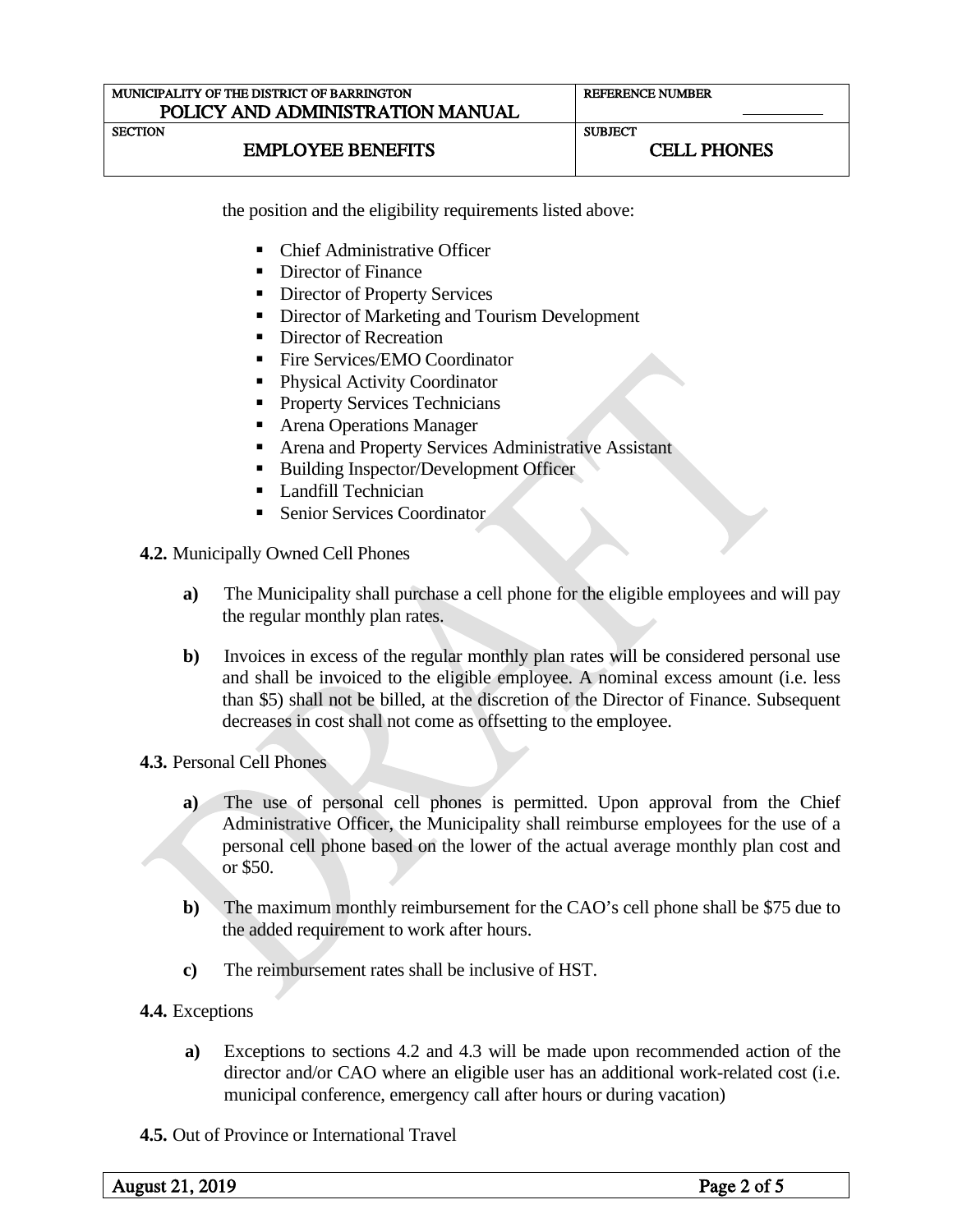| MUNICIPALITY OF THE DISTRICT OF BARRINGTON | <b>REFERENCE NUMBER</b> |  |
|--------------------------------------------|-------------------------|--|
| POLICY AND ADMINISTRATION MANUAL           |                         |  |
| <b>SECTION</b>                             | <b>SUBJECT</b>          |  |
| <b>EMPLOYEE BENEFITS</b>                   | <b>CELL PHONES</b>      |  |

the position and the eligibility requirements listed above:

- Chief Administrative Officer
- Director of Finance
- Director of Property Services
- Director of Marketing and Tourism Development
- Director of Recreation
- Fire Services/EMO Coordinator
- Physical Activity Coordinator
- **Property Services Technicians**
- Arena Operations Manager
- Arena and Property Services Administrative Assistant
- Building Inspector/Development Officer
- Landfill Technician
- Senior Services Coordinator
- **4.2.** Municipally Owned Cell Phones
	- **a)** The Municipality shall purchase a cell phone for the eligible employees and will pay the regular monthly plan rates.
	- **b**) Invoices in excess of the regular monthly plan rates will be considered personal use and shall be invoiced to the eligible employee. A nominal excess amount (i.e. less than \$5) shall not be billed, at the discretion of the Director of Finance. Subsequent decreases in cost shall not come as offsetting to the employee.

**4.3.** Personal Cell Phones

- **a)** The use of personal cell phones is permitted. Upon approval from the Chief Administrative Officer, the Municipality shall reimburse employees for the use of a personal cell phone based on the lower of the actual average monthly plan cost and or \$50.
- **b)** The maximum monthly reimbursement for the CAO's cell phone shall be \$75 due to the added requirement to work after hours.
- **c)** The reimbursement rates shall be inclusive of HST.
- **4.4.** Exceptions
	- **a)** Exceptions to sections 4.2 and 4.3 will be made upon recommended action of the director and/or CAO where an eligible user has an additional work-related cost (i.e. municipal conference, emergency call after hours or during vacation)
- **4.5.** Out of Province or International Travel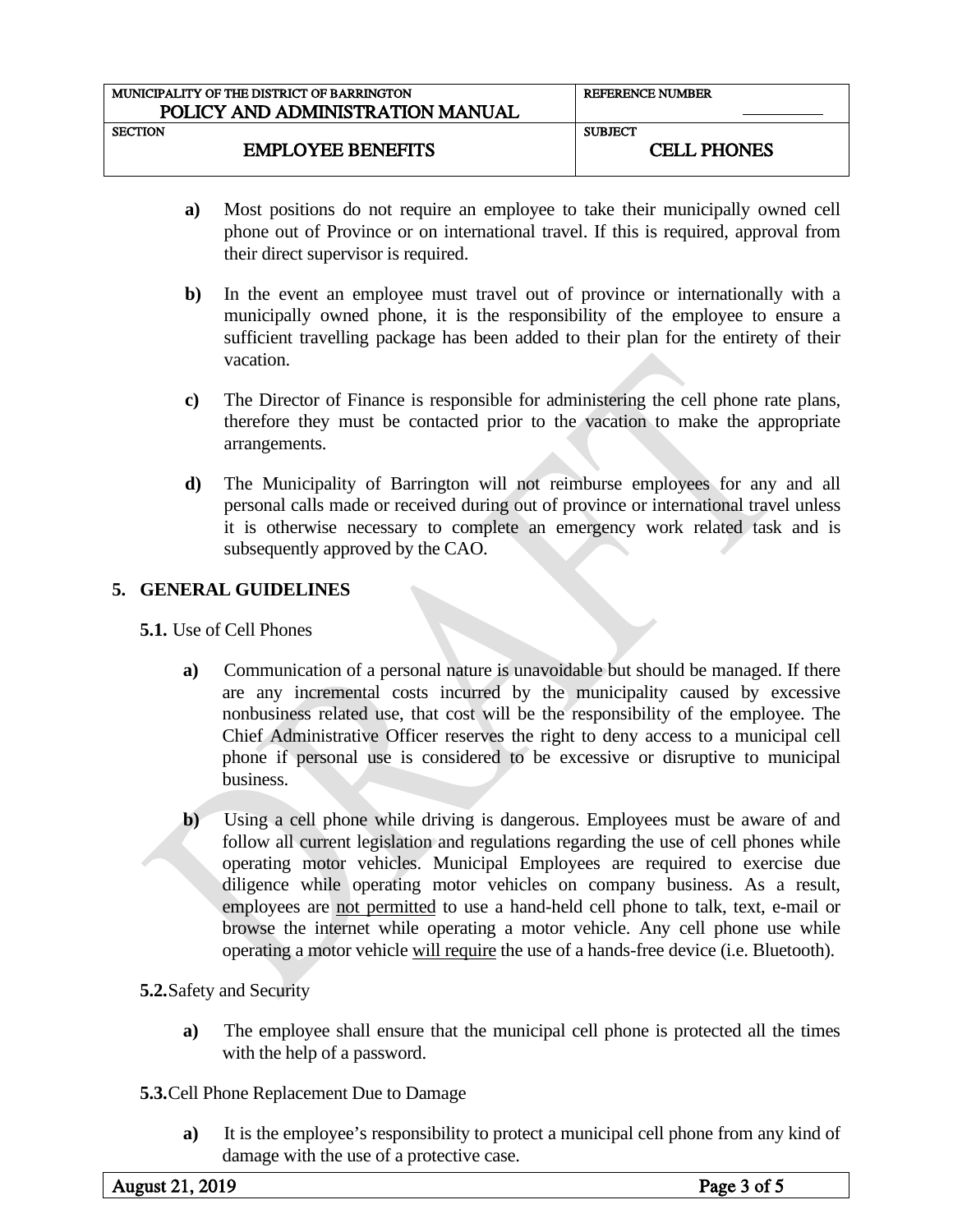| MUNICIPALITY OF THE DISTRICT OF BARRINGTON | <b>REFERENCE NUMBER</b> |  |
|--------------------------------------------|-------------------------|--|
| POLICY AND ADMINISTRATION MANUAL           |                         |  |
|                                            |                         |  |
| <b>SECTION</b>                             | <b>SUBJECT</b>          |  |
| <b>EMPLOYEE BENEFITS</b>                   | <b>CELL PHONES</b>      |  |
|                                            |                         |  |

- **a)** Most positions do not require an employee to take their municipally owned cell phone out of Province or on international travel. If this is required, approval from their direct supervisor is required.
- **b)** In the event an employee must travel out of province or internationally with a municipally owned phone, it is the responsibility of the employee to ensure a sufficient travelling package has been added to their plan for the entirety of their vacation.
- **c)** The Director of Finance is responsible for administering the cell phone rate plans, therefore they must be contacted prior to the vacation to make the appropriate arrangements.
- **d)** The Municipality of Barrington will not reimburse employees for any and all personal calls made or received during out of province or international travel unless it is otherwise necessary to complete an emergency work related task and is subsequently approved by the CAO.

## **5. GENERAL GUIDELINES**

**5.1.** Use of Cell Phones

- **a)** Communication of a personal nature is unavoidable but should be managed. If there are any incremental costs incurred by the municipality caused by excessive nonbusiness related use, that cost will be the responsibility of the employee. The Chief Administrative Officer reserves the right to deny access to a municipal cell phone if personal use is considered to be excessive or disruptive to municipal business.
- **b**) Using a cell phone while driving is dangerous. Employees must be aware of and follow all current legislation and regulations regarding the use of cell phones while operating motor vehicles. Municipal Employees are required to exercise due diligence while operating motor vehicles on company business. As a result, employees are not permitted to use a hand-held cell phone to talk, text, e-mail or browse the internet while operating a motor vehicle. Any cell phone use while operating a motor vehicle will require the use of a hands-free device (i.e. Bluetooth).
- **5.2.**Safety and Security
	- **a)** The employee shall ensure that the municipal cell phone is protected all the times with the help of a password.
- **5.3.**Cell Phone Replacement Due to Damage
	- **a)** It is the employee's responsibility to protect a municipal cell phone from any kind of damage with the use of a protective case.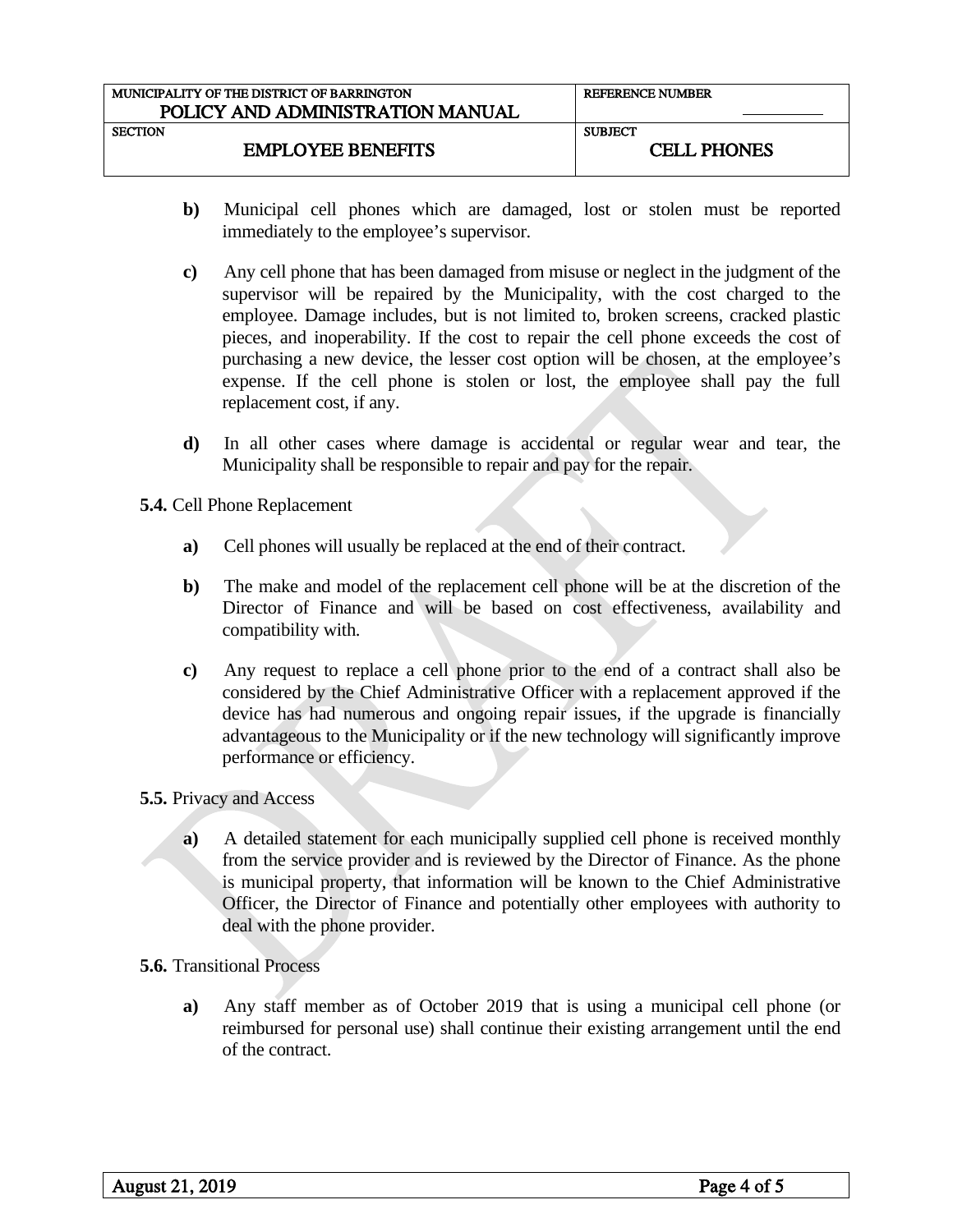| MUNICIPALITY OF THE DISTRICT OF BARRINGTON | <b>REFERENCE NUMBER</b> |  |
|--------------------------------------------|-------------------------|--|
| POLICY AND ADMINISTRATION MANUAL           |                         |  |
| <b>SECTION</b>                             | <b>SUBJECT</b>          |  |
| <b>EMPLOYEE BENEFITS</b>                   | <b>CELL PHONES</b>      |  |

- **b)** Municipal cell phones which are damaged, lost or stolen must be reported immediately to the employee's supervisor.
- **c)** Any cell phone that has been damaged from misuse or neglect in the judgment of the supervisor will be repaired by the Municipality, with the cost charged to the employee. Damage includes, but is not limited to, broken screens, cracked plastic pieces, and inoperability. If the cost to repair the cell phone exceeds the cost of purchasing a new device, the lesser cost option will be chosen, at the employee's expense. If the cell phone is stolen or lost, the employee shall pay the full replacement cost, if any.
- **d)** In all other cases where damage is accidental or regular wear and tear, the Municipality shall be responsible to repair and pay for the repair.

**5.4.** Cell Phone Replacement

- **a)** Cell phones will usually be replaced at the end of their contract.
- **b)** The make and model of the replacement cell phone will be at the discretion of the Director of Finance and will be based on cost effectiveness, availability and compatibility with.
- **c)** Any request to replace a cell phone prior to the end of a contract shall also be considered by the Chief Administrative Officer with a replacement approved if the device has had numerous and ongoing repair issues, if the upgrade is financially advantageous to the Municipality or if the new technology will significantly improve performance or efficiency.

### **5.5.** Privacy and Access

**a)** A detailed statement for each municipally supplied cell phone is received monthly from the service provider and is reviewed by the Director of Finance. As the phone is municipal property, that information will be known to the Chief Administrative Officer, the Director of Finance and potentially other employees with authority to deal with the phone provider.

### **5.6.** Transitional Process

**a)** Any staff member as of October 2019 that is using a municipal cell phone (or reimbursed for personal use) shall continue their existing arrangement until the end of the contract.